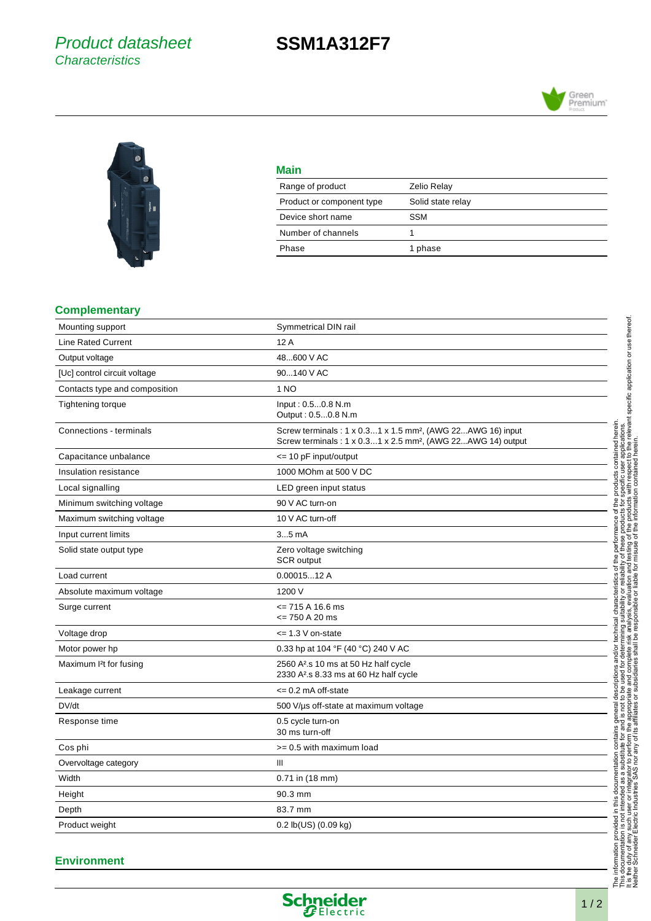## Product datasheet **Characteristics**

# **SSM1A312F7**





| Main                      |                    |
|---------------------------|--------------------|
| Range of product          | <b>Zelio Relay</b> |
| Product or component type | Solid state relay  |
| Device short name         | <b>SSM</b>         |
| Number of channels        |                    |
| Phase                     | 1 phase            |

#### **Complementary**

| Mounting support                    | Symmetrical DIN rail                                                                                                                               |
|-------------------------------------|----------------------------------------------------------------------------------------------------------------------------------------------------|
| <b>Line Rated Current</b>           | 12A                                                                                                                                                |
| Output voltage                      | 48600 V AC                                                                                                                                         |
| [Uc] control circuit voltage        | 90140 V AC                                                                                                                                         |
| Contacts type and composition       | 1 NO                                                                                                                                               |
| <b>Tightening torque</b>            | Input: 0.50.8 N.m<br>Output: 0.50.8 N.m                                                                                                            |
| Connections - terminals             | Screw terminals: 1 x 0.31 x 1.5 mm <sup>2</sup> , (AWG 22AWG 16) input<br>Screw terminals : 1 x 0.31 x 2.5 mm <sup>2</sup> , (AWG 22AWG 14) output |
| Capacitance unbalance               | <= 10 pF input/output                                                                                                                              |
| Insulation resistance               | 1000 MOhm at 500 V DC                                                                                                                              |
| Local signalling                    | LED green input status                                                                                                                             |
| Minimum switching voltage           | 90 V AC turn-on                                                                                                                                    |
| Maximum switching voltage           | 10 V AC turn-off                                                                                                                                   |
| Input current limits                | $35$ mA                                                                                                                                            |
| Solid state output type             | Zero voltage switching<br>SCR output                                                                                                               |
| Load current                        | 0.0001512A                                                                                                                                         |
| Absolute maximum voltage            | 1200 V                                                                                                                                             |
| Surge current                       | $\le$ 715 A 16.6 ms<br>$= 750 A 20 ms$                                                                                                             |
| Voltage drop                        | $\leq$ 1.3 V on-state                                                                                                                              |
| Motor power hp                      | 0.33 hp at 104 °F (40 °C) 240 V AC                                                                                                                 |
| Maximum I <sup>2</sup> t for fusing | 2560 A <sup>2</sup> .s 10 ms at 50 Hz half cycle<br>2330 A <sup>2</sup> .s 8.33 ms at 60 Hz half cycle                                             |
| Leakage current                     | $\leq$ 0.2 mA off-state                                                                                                                            |
| DV/dt                               | 500 V/µs off-state at maximum voltage                                                                                                              |
| Response time                       | 0.5 cycle turn-on<br>30 ms turn-off                                                                                                                |
| Cos phi                             | >= 0.5 with maximum load                                                                                                                           |
| Overvoltage category                | $\mathbb{H}$                                                                                                                                       |
| Width                               | 0.71 in (18 mm)                                                                                                                                    |
| Height                              | 90.3 mm                                                                                                                                            |
| Depth                               | 83.7 mm                                                                                                                                            |
| Product weight                      | $0.2$ lb(US) $(0.09$ kg)                                                                                                                           |

Neither Schneider Electric Industries SAS nor any of its affiliates or subsidiaries shall be responsible or liable for misuse of the information contained herein.

#### **Environment**

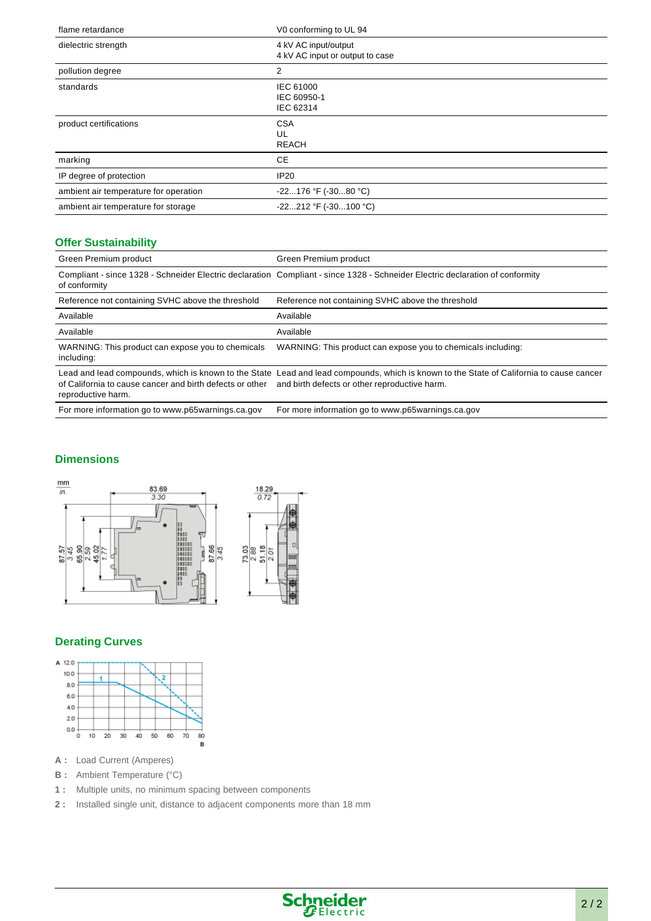| flame retardance                      | V0 conforming to UL 94                                  |
|---------------------------------------|---------------------------------------------------------|
| dielectric strength                   | 4 kV AC input/output<br>4 kV AC input or output to case |
| pollution degree                      | 2                                                       |
| standards                             | <b>IEC 61000</b><br>IEC 60950-1<br>IEC 62314            |
| product certifications                | <b>CSA</b><br>UL<br><b>REACH</b>                        |
| marking                               | СE                                                      |
| IP degree of protection               | IP20                                                    |
| ambient air temperature for operation | $-22176$ °F ( $-3080$ °C)                               |
| ambient air temperature for storage   | $-22212$ °F ( $-30100$ °C)                              |

#### **Offer Sustainability**

| Green Premium product                                                          | Green Premium product                                                                                                                                                                    |
|--------------------------------------------------------------------------------|------------------------------------------------------------------------------------------------------------------------------------------------------------------------------------------|
| of conformity                                                                  | Compliant - since 1328 - Schneider Electric declaration Compliant - since 1328 - Schneider Electric declaration of conformity                                                            |
| Reference not containing SVHC above the threshold                              | Reference not containing SVHC above the threshold                                                                                                                                        |
| Available                                                                      | Available                                                                                                                                                                                |
| Available                                                                      | Available                                                                                                                                                                                |
| WARNING: This product can expose you to chemicals<br>including:                | WARNING: This product can expose you to chemicals including:                                                                                                                             |
| of California to cause cancer and birth defects or other<br>reproductive harm. | Lead and lead compounds, which is known to the State Lead and lead compounds, which is known to the State of California to cause cancer<br>and birth defects or other reproductive harm. |
| For more information go to www.p65warnings.ca.gov                              | For more information go to www.p65warnings.ca.gov                                                                                                                                        |

#### **Dimensions**



### **Derating Curves**



**A :** Load Current (Amperes)

- **B** : Ambient Temperature (°C)
- **1 :** Multiple units, no minimum spacing between components
- **2 :** Installed single unit, distance to adjacent components more than 18 mm